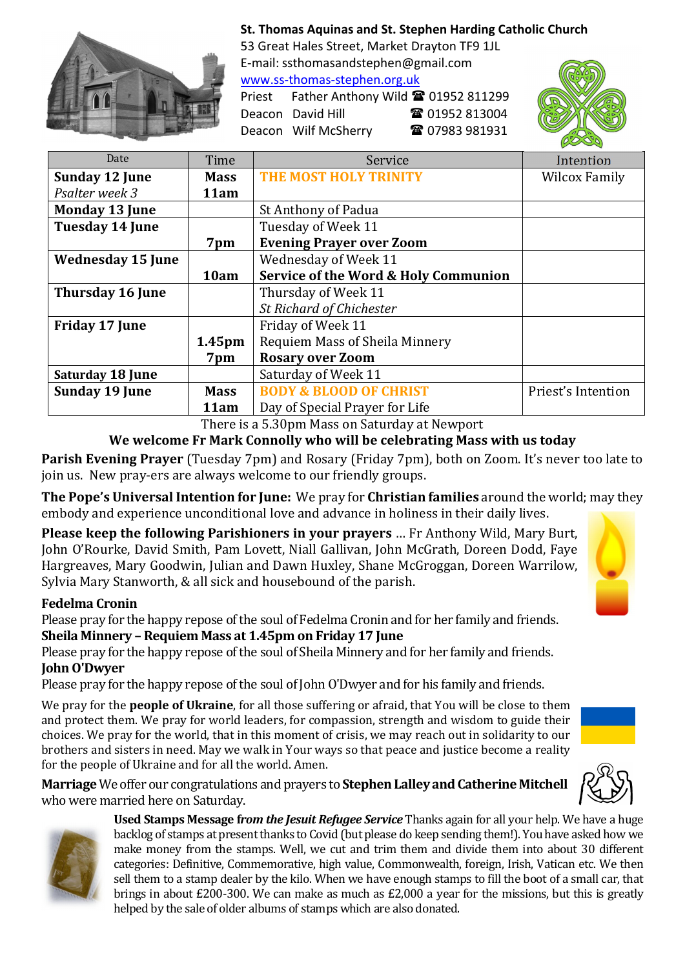

## St. Thomas Aquinas and St. Stephen Harding Catholic Church

53 Great Hales Street, Market Drayton TF9 1JL E-mail: ssthomasandstephen@gmail.com www.ss-thomas-stephen.org.uk

Deacon David Hill 2 01952 813004 Deacon Wilf McSherry 2 07983 981931

Priest Father Anthony Wild <sup>2</sup> 01952 811299



| Date                     | Time        | Service                              | Intention          |
|--------------------------|-------------|--------------------------------------|--------------------|
| <b>Sunday 12 June</b>    | <b>Mass</b> | <b>THE MOST HOLY TRINITY</b>         | Wilcox Family      |
| Psalter week 3           | 11am        |                                      |                    |
| <b>Monday 13 June</b>    |             | St Anthony of Padua                  |                    |
| <b>Tuesday 14 June</b>   |             | Tuesday of Week 11                   |                    |
|                          | 7pm         | <b>Evening Prayer over Zoom</b>      |                    |
| <b>Wednesday 15 June</b> |             | Wednesday of Week 11                 |                    |
|                          | 10am        | Service of the Word & Holy Communion |                    |
| Thursday 16 June         |             | Thursday of Week 11                  |                    |
|                          |             | <b>St Richard of Chichester</b>      |                    |
| <b>Friday 17 June</b>    |             | Friday of Week 11                    |                    |
|                          | 1.45pm      | Requiem Mass of Sheila Minnery       |                    |
|                          | 7pm         | <b>Rosary over Zoom</b>              |                    |
| <b>Saturday 18 June</b>  |             | Saturday of Week 11                  |                    |
| <b>Sunday 19 June</b>    | <b>Mass</b> | <b>BODY &amp; BLOOD OF CHRIST</b>    | Priest's Intention |
|                          | 11am        | Day of Special Prayer for Life       |                    |

There is a 5.30pm Mass on Saturday at Newport

We welcome Fr Mark Connolly who will be celebrating Mass with us today

Parish Evening Prayer (Tuesday 7pm) and Rosary (Friday 7pm), both on Zoom. It's never too late to join us. New pray-ers are always welcome to our friendly groups.

The Pope's Universal Intention for June: We pray for Christian families around the world; may they embody and experience unconditional love and advance in holiness in their daily lives.

Please keep the following Parishioners in your prayers … Fr Anthony Wild, Mary Burt, John O'Rourke, David Smith, Pam Lovett, Niall Gallivan, John McGrath, Doreen Dodd, Faye Hargreaves, Mary Goodwin, Julian and Dawn Huxley, Shane McGroggan, Doreen Warrilow, Sylvia Mary Stanworth, & all sick and housebound of the parish.

## Fedelma Cronin

Please pray for the happy repose of the soul of Fedelma Cronin and for her family and friends. Sheila Minnery – Requiem Mass at 1.45pm on Friday 17 June

Please pray for the happy repose of the soul of Sheila Minnery and for her family and friends. John O'Dwyer

Please pray for the happy repose of the soul of John O'Dwyer and for his family and friends.

We pray for the **people of Ukraine**, for all those suffering or afraid, that You will be close to them and protect them. We pray for world leaders, for compassion, strength and wisdom to guide their choices. We pray for the world, that in this moment of crisis, we may reach out in solidarity to our brothers and sisters in need. May we walk in Your ways so that peace and justice become a reality for the people of Ukraine and for all the world. Amen.

Marriage We offer our congratulations and prayers to Stephen Lalley and Catherine Mitchell who were married here on Saturday.





Used Stamps Message f*rom the Jesuit Refugee Service* Thanks again for all your help. We have a huge backlog of stamps at present thanks to Covid (but please do keep sending them!). You have asked how we make money from the stamps. Well, we cut and trim them and divide them into about 30 different categories: Definitive, Commemorative, high value, Commonwealth, foreign, Irish, Vatican etc. We then sell them to a stamp dealer by the kilo. When we have enough stamps to fill the boot of a small car, that brings in about £200-300. We can make as much as £2,000 a year for the missions, but this is greatly helped by the sale of older albums of stamps which are also donated.